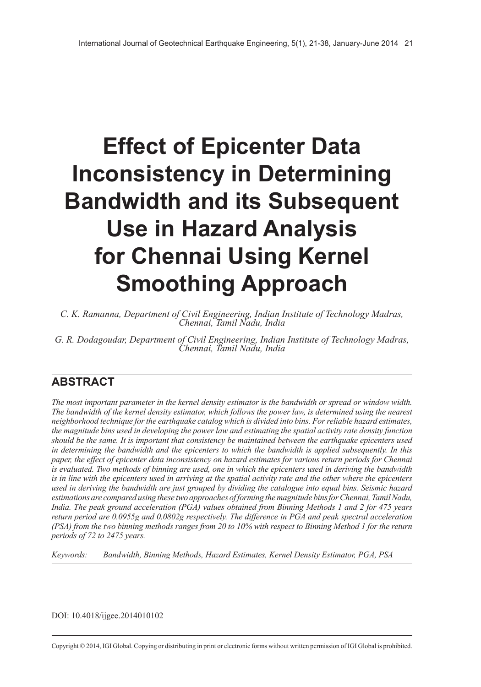# **Effect of Epicenter Data Inconsistency in Determining Bandwidth and its Subsequent Use in Hazard Analysis for Chennai Using Kernel Smoothing Approach**

*C. K. Ramanna, Department of Civil Engineering, Indian Institute of Technology Madras, Chennai, Tamil Nadu, India*

*G. R. Dodagoudar, Department of Civil Engineering, Indian Institute of Technology Madras, Chennai, Tamil Nadu, India*

# **ABSTRACT**

*The most important parameter in the kernel density estimator is the bandwidth or spread or window width. The bandwidth of the kernel density estimator, which follows the power law, is determined using the nearest neighborhood technique for the earthquake catalog which is divided into bins. For reliable hazard estimates, the magnitude bins used in developing the power law and estimating the spatial activity rate density function should be the same. It is important that consistency be maintained between the earthquake epicenters used in determining the bandwidth and the epicenters to which the bandwidth is applied subsequently. In this paper, the effect of epicenter data inconsistency on hazard estimates for various return periods for Chennai is evaluated. Two methods of binning are used, one in which the epicenters used in deriving the bandwidth is in line with the epicenters used in arriving at the spatial activity rate and the other where the epicenters used in deriving the bandwidth are just grouped by dividing the catalogue into equal bins. Seismic hazard estimations are compared using these two approaches of forming the magnitude bins for Chennai, Tamil Nadu, India. The peak ground acceleration (PGA) values obtained from Binning Methods 1 and 2 for 475 years return period are 0.0955g and 0.0802g respectively. The difference in PGA and peak spectral acceleration (PSA) from the two binning methods ranges from 20 to 10% with respect to Binning Method 1 for the return periods of 72 to 2475 years.*

*Keywords: Bandwidth, Binning Methods, Hazard Estimates, Kernel Density Estimator, PGA, PSA*

DOI: 10.4018/ijgee.2014010102

Copyright © 2014, IGI Global. Copying or distributing in print or electronic forms without written permission of IGI Global is prohibited.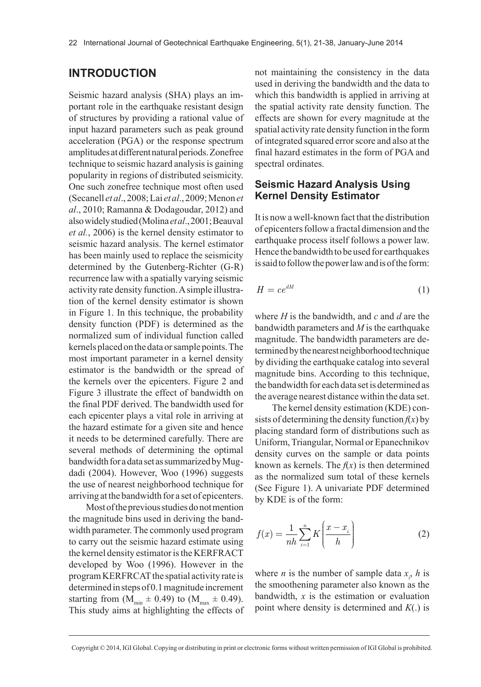### **INTRODUCTION**

Seismic hazard analysis (SHA) plays an important role in the earthquake resistant design of structures by providing a rational value of input hazard parameters such as peak ground acceleration (PGA) or the response spectrum amplitudes at different natural periods. Zonefree technique to seismic hazard analysis is gaining popularity in regions of distributed seismicity. One such zonefree technique most often used (Secanell *et al*., 2008; Lai *et al*., 2009; Menon *et al*., 2010; Ramanna & Dodagoudar, 2012) and also widely studied (Molina *et al*., 2001; Beauval *et al.*, 2006) is the kernel density estimator to seismic hazard analysis. The kernel estimator has been mainly used to replace the seismicity determined by the Gutenberg-Richter (G-R) recurrence law with a spatially varying seismic activity rate density function. A simple illustration of the kernel density estimator is shown in Figure 1. In this technique, the probability density function (PDF) is determined as the normalized sum of individual function called kernels placed on the data or sample points. The most important parameter in a kernel density estimator is the bandwidth or the spread of the kernels over the epicenters. Figure 2 and Figure 3 illustrate the effect of bandwidth on the final PDF derived. The bandwidth used for each epicenter plays a vital role in arriving at the hazard estimate for a given site and hence it needs to be determined carefully. There are several methods of determining the optimal bandwidth for a data set as summarized by Mugdadi (2004). However, Woo (1996) suggests the use of nearest neighborhood technique for arriving at the bandwidth for a set of epicenters.

Most of the previous studies do not mention the magnitude bins used in deriving the bandwidth parameter. The commonly used program to carry out the seismic hazard estimate using the kernel density estimator is the KERFRACT developed by Woo (1996). However in the program KERFRCAT the spatial activity rate is determined in steps of 0.1 magnitude increment starting from  $(\overline{M}_{min} \pm 0.49)$  to  $(M_{max} \pm 0.49)$ . This study aims at highlighting the effects of not maintaining the consistency in the data used in deriving the bandwidth and the data to which this bandwidth is applied in arriving at the spatial activity rate density function. The effects are shown for every magnitude at the spatial activity rate density function in the form of integrated squared error score and also at the final hazard estimates in the form of PGA and spectral ordinates.

### **Seismic Hazard Analysis Using Kernel Density Estimator**

It is now a well-known fact that the distribution of epicenters follow a fractal dimension and the earthquake process itself follows a power law. Hence the bandwidth to be used for earthquakes is said to follow the power law and is of the form:

$$
H = ce^{dM} \tag{1}
$$

where *H* is the bandwidth, and *c* and *d* are the bandwidth parameters and *M* is the earthquake magnitude. The bandwidth parameters are determined by the nearest neighborhood technique by dividing the earthquake catalog into several magnitude bins. According to this technique, the bandwidth for each data set is determined as the average nearest distance within the data set.

The kernel density estimation (KDE) consists of determining the density function  $f(x)$  by placing standard form of distributions such as Uniform, Triangular, Normal or Epanechnikov density curves on the sample or data points known as kernels. The  $f(x)$  is then determined as the normalized sum total of these kernels (See Figure 1). A univariate PDF determined by KDE is of the form:

$$
f(x) = \frac{1}{nh} \sum_{i=1}^{n} K\left(\frac{x - x_i}{h}\right)
$$
 (2)

where *n* is the number of sample data  $x_i$ , *h* is the smoothening parameter also known as the bandwidth, *x* is the estimation or evaluation point where density is determined and *K*(.) is

Copyright © 2014, IGI Global. Copying or distributing in print or electronic forms without written permission of IGI Global is prohibited.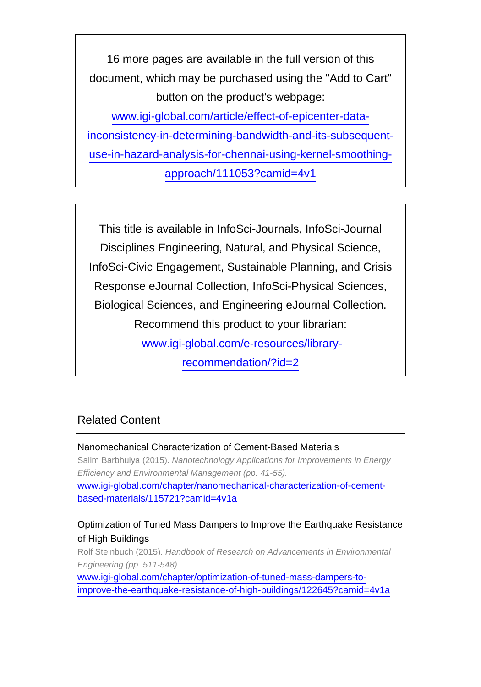16 more pages are available in the full version of this document, which may be purchased using the "Add to Cart" button on the product's webpage: [www.igi-global.com/article/effect-of-epicenter-data](http://www.igi-global.com/article/effect-of-epicenter-data-inconsistency-in-determining-bandwidth-and-its-subsequent-use-in-hazard-analysis-for-chennai-using-kernel-smoothing-approach/111053?camid=4v1)[inconsistency-in-determining-bandwidth-and-its-subsequent](http://www.igi-global.com/article/effect-of-epicenter-data-inconsistency-in-determining-bandwidth-and-its-subsequent-use-in-hazard-analysis-for-chennai-using-kernel-smoothing-approach/111053?camid=4v1)[use-in-hazard-analysis-for-chennai-using-kernel-smoothing-](http://www.igi-global.com/article/effect-of-epicenter-data-inconsistency-in-determining-bandwidth-and-its-subsequent-use-in-hazard-analysis-for-chennai-using-kernel-smoothing-approach/111053?camid=4v1)

[approach/111053?camid=4v1](http://www.igi-global.com/article/effect-of-epicenter-data-inconsistency-in-determining-bandwidth-and-its-subsequent-use-in-hazard-analysis-for-chennai-using-kernel-smoothing-approach/111053?camid=4v1)

This title is available in InfoSci-Journals, InfoSci-Journal Disciplines Engineering, Natural, and Physical Science, InfoSci-Civic Engagement, Sustainable Planning, and Crisis Response eJournal Collection, InfoSci-Physical Sciences, Biological Sciences, and Engineering eJournal Collection. Recommend this product to your librarian: [www.igi-global.com/e-resources/library](http://www.igi-global.com/e-resources/library-recommendation/?id=2)[recommendation/?id=2](http://www.igi-global.com/e-resources/library-recommendation/?id=2)

# Related Content

### Nanomechanical Characterization of Cement-Based Materials Salim Barbhuiya (2015). Nanotechnology Applications for Improvements in Energy Efficiency and Environmental Management (pp. 41-55). [www.igi-global.com/chapter/nanomechanical-characterization-of-cement](http://www.igi-global.com/chapter/nanomechanical-characterization-of-cement-based-materials/115721?camid=4v1a)[based-materials/115721?camid=4v1a](http://www.igi-global.com/chapter/nanomechanical-characterization-of-cement-based-materials/115721?camid=4v1a)

## Optimization of Tuned Mass Dampers to Improve the Earthquake Resistance of High Buildings

Rolf Steinbuch (2015). Handbook of Research on Advancements in Environmental Engineering (pp. 511-548).

[www.igi-global.com/chapter/optimization-of-tuned-mass-dampers-to](http://www.igi-global.com/chapter/optimization-of-tuned-mass-dampers-to-improve-the-earthquake-resistance-of-high-buildings/122645?camid=4v1a)[improve-the-earthquake-resistance-of-high-buildings/122645?camid=4v1a](http://www.igi-global.com/chapter/optimization-of-tuned-mass-dampers-to-improve-the-earthquake-resistance-of-high-buildings/122645?camid=4v1a)